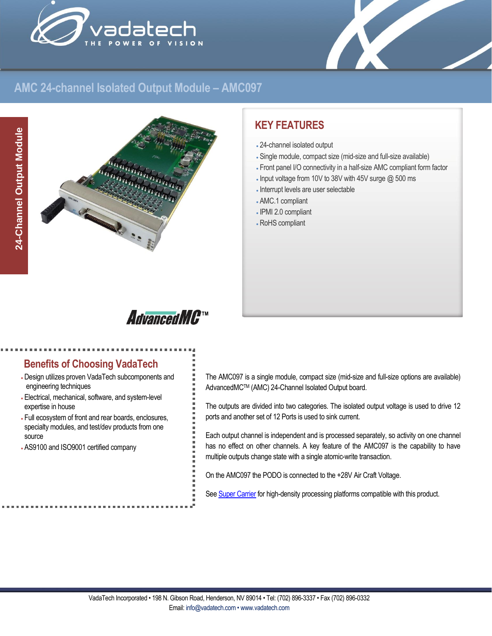



# **AMC 24-channel Isolated Output Module – AMC097**



# **KEY FEATURES**

- 24-channel isolated output
- Single module, compact size (mid-size and full-size available)
- Front panel I/O connectivity in a half-size AMC compliant form factor
- Input voltage from 10V to 38V with 45V surge @ 500 ms
- Interrupt levels are user selectable
- AMC.1 compliant
- IPMI 2.0 compliant
- RoHS compliant

# **AdvancedMC**TM

### **Benefits of Choosing VadaTech**

- Design utilizes proven VadaTech subcomponents and engineering techniques
- Electrical, mechanical, software, and system-level expertise in house
- Full ecosystem of front and rear boards, enclosures, specialty modules, and test/dev products from one source
- AS9100 and ISO9001 certified company

The AMC097 is a single module, compact size (mid-size and full-size options are available) AdvancedMCTM (AMC) 24-Channel Isolated Output board.

The outputs are divided into two categories. The isolated output voltage is used to drive 12 ports and another set of 12 Ports is used to sink current.

Each output channel is independent and is processed separately, so activity on one channel has no effect on other channels. A key feature of the AMC097 is the capability to have multiple outputs change state with a single atomic-write transaction.

On the AMC097 the PODO is connected to the +28V Air Craft Voltage.

Se[e Super Carrier](https://www.vadatech.com/media/pdf_VT835_836_Brouchure.pdf) for high-density processing platforms compatible with this product.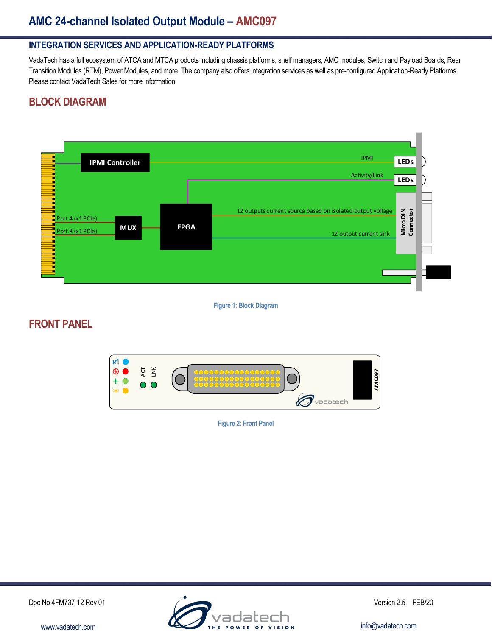# **AMC 24-channel Isolated Output Module – AMC097**

### **INTEGRATION SERVICES AND APPLICATION-READY PLATFORMS**

VadaTech has a full ecosystem of ATCA and MTCA products including chassis platforms, shelf managers, AMC modules, Switch and Payload Boards, Rear Transition Modules (RTM), Power Modules, and more. The company also offers integration services as well as pre-configured Application-Ready Platforms. Please contact VadaTech Sales for more information.

# **BLOCK DIAGRAM**



**Figure 1: Block Diagram**

## **FRONT PANEL**



**Figure 2: Front Panel**

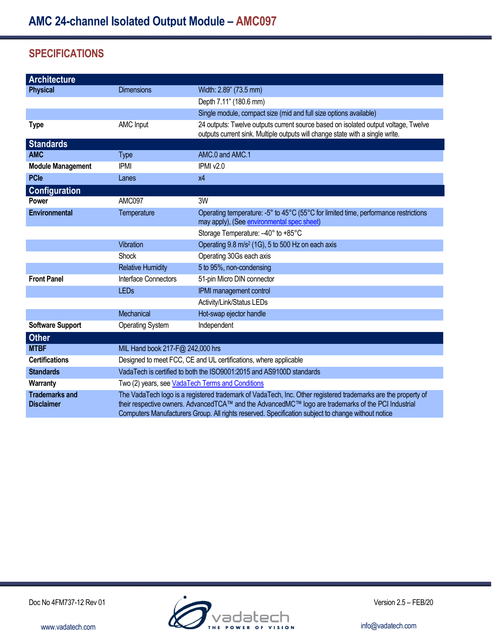# **SPECIFICATIONS**

| <b>Architecture</b>                        |                                                                                                                                                                                                                                                                                                                            |                                                                                                                                                                     |
|--------------------------------------------|----------------------------------------------------------------------------------------------------------------------------------------------------------------------------------------------------------------------------------------------------------------------------------------------------------------------------|---------------------------------------------------------------------------------------------------------------------------------------------------------------------|
| <b>Physical</b>                            | <b>Dimensions</b>                                                                                                                                                                                                                                                                                                          | Width: 2.89" (73.5 mm)                                                                                                                                              |
|                                            |                                                                                                                                                                                                                                                                                                                            | Depth 7.11" (180.6 mm)                                                                                                                                              |
|                                            |                                                                                                                                                                                                                                                                                                                            | Single module, compact size (mid and full size options available)                                                                                                   |
| <b>Type</b>                                | <b>AMC Input</b>                                                                                                                                                                                                                                                                                                           | 24 outputs: Twelve outputs current source based on isolated output voltage, Twelve<br>outputs current sink. Multiple outputs will change state with a single write. |
| <b>Standards</b>                           |                                                                                                                                                                                                                                                                                                                            |                                                                                                                                                                     |
| <b>AMC</b>                                 | <b>Type</b>                                                                                                                                                                                                                                                                                                                | AMC.0 and AMC.1                                                                                                                                                     |
| <b>Module Management</b>                   | <b>IPMI</b>                                                                                                                                                                                                                                                                                                                | IPMI v2.0                                                                                                                                                           |
| <b>PCle</b>                                | Lanes                                                                                                                                                                                                                                                                                                                      | x4                                                                                                                                                                  |
| <b>Configuration</b>                       |                                                                                                                                                                                                                                                                                                                            |                                                                                                                                                                     |
| <b>Power</b>                               | AMC097                                                                                                                                                                                                                                                                                                                     | 3W                                                                                                                                                                  |
| <b>Environmental</b>                       | Temperature                                                                                                                                                                                                                                                                                                                | Operating temperature: -5° to 45°C (55°C for limited time, performance restrictions<br>may apply), (See environmental spec sheet)                                   |
|                                            |                                                                                                                                                                                                                                                                                                                            | Storage Temperature: -40° to +85°C                                                                                                                                  |
|                                            | Vibration                                                                                                                                                                                                                                                                                                                  | Operating 9.8 m/s <sup>2</sup> (1G), 5 to 500 Hz on each axis                                                                                                       |
|                                            | Shock                                                                                                                                                                                                                                                                                                                      | Operating 30Gs each axis                                                                                                                                            |
|                                            | <b>Relative Humidity</b>                                                                                                                                                                                                                                                                                                   | 5 to 95%, non-condensing                                                                                                                                            |
| <b>Front Panel</b>                         | Interface Connectors                                                                                                                                                                                                                                                                                                       | 51-pin Micro DIN connector                                                                                                                                          |
|                                            | <b>LEDs</b>                                                                                                                                                                                                                                                                                                                | IPMI management control                                                                                                                                             |
|                                            |                                                                                                                                                                                                                                                                                                                            | Activity/Link/Status LEDs                                                                                                                                           |
|                                            | Mechanical                                                                                                                                                                                                                                                                                                                 | Hot-swap ejector handle                                                                                                                                             |
| <b>Software Support</b>                    | <b>Operating System</b>                                                                                                                                                                                                                                                                                                    | Independent                                                                                                                                                         |
| <b>Other</b>                               |                                                                                                                                                                                                                                                                                                                            |                                                                                                                                                                     |
| <b>MTBF</b>                                | MIL Hand book 217-F@ 242,000 hrs                                                                                                                                                                                                                                                                                           |                                                                                                                                                                     |
| <b>Certifications</b>                      | Designed to meet FCC, CE and UL certifications, where applicable                                                                                                                                                                                                                                                           |                                                                                                                                                                     |
| <b>Standards</b>                           | VadaTech is certified to both the ISO9001:2015 and AS9100D standards                                                                                                                                                                                                                                                       |                                                                                                                                                                     |
| <b>Warranty</b>                            | Two (2) years, see VadaTech Terms and Conditions                                                                                                                                                                                                                                                                           |                                                                                                                                                                     |
| <b>Trademarks and</b><br><b>Disclaimer</b> | The VadaTech logo is a registered trademark of VadaTech, Inc. Other registered trademarks are the property of<br>their respective owners. AdvancedTCA™ and the AdvancedMC™ logo are trademarks of the PCI Industrial<br>Computers Manufacturers Group. All rights reserved. Specification subject to change without notice |                                                                                                                                                                     |